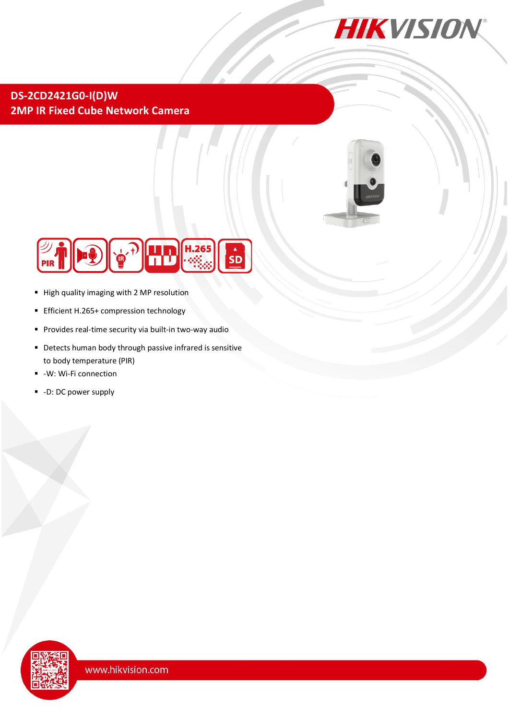

## **DS-2CD2421G0-I(D)W 2MP IR Fixed Cube Network Camera**





- High quality imaging with 2 MP resolution
- **Efficient H.265+ compression technology**
- **Provides real-time security via built-in two-way audio**
- **•** Detects human body through passive infrared is sensitive to body temperature (PIR)
- -W: Wi-Fi connection
- -D: DC power supply

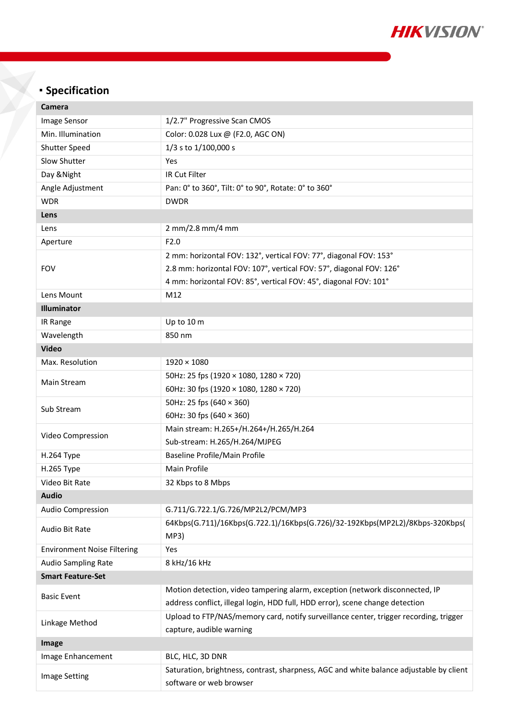

## **Specification**

| Camera                             |                                                                                         |  |
|------------------------------------|-----------------------------------------------------------------------------------------|--|
| Image Sensor                       | 1/2.7" Progressive Scan CMOS                                                            |  |
| Min. Illumination                  | Color: 0.028 Lux @ (F2.0, AGC ON)                                                       |  |
| Shutter Speed                      | 1/3 s to 1/100,000 s                                                                    |  |
| Slow Shutter                       | Yes                                                                                     |  |
| Day & Night                        | IR Cut Filter                                                                           |  |
| Angle Adjustment                   | Pan: 0° to 360°, Tilt: 0° to 90°, Rotate: 0° to 360°                                    |  |
| <b>WDR</b>                         | <b>DWDR</b>                                                                             |  |
| Lens                               |                                                                                         |  |
| Lens                               | 2 mm/2.8 mm/4 mm                                                                        |  |
| Aperture                           | F2.0                                                                                    |  |
| <b>FOV</b>                         | 2 mm: horizontal FOV: 132°, vertical FOV: 77°, diagonal FOV: 153°                       |  |
|                                    | 2.8 mm: horizontal FOV: 107°, vertical FOV: 57°, diagonal FOV: 126°                     |  |
|                                    | 4 mm: horizontal FOV: 85°, vertical FOV: 45°, diagonal FOV: 101°                        |  |
| Lens Mount                         | M12                                                                                     |  |
| Illuminator                        |                                                                                         |  |
| IR Range                           | Up to 10 m                                                                              |  |
| Wavelength                         | 850 nm                                                                                  |  |
| <b>Video</b>                       |                                                                                         |  |
| Max. Resolution                    | $1920 \times 1080$                                                                      |  |
| Main Stream                        | 50Hz: 25 fps (1920 × 1080, 1280 × 720)                                                  |  |
|                                    | 60Hz: 30 fps (1920 × 1080, 1280 × 720)                                                  |  |
| Sub Stream                         | 50Hz: 25 fps (640 × 360)                                                                |  |
|                                    | 60Hz: 30 fps $(640 \times 360)$                                                         |  |
|                                    | Main stream: H.265+/H.264+/H.265/H.264                                                  |  |
| Video Compression                  | Sub-stream: H.265/H.264/MJPEG                                                           |  |
| H.264 Type                         | Baseline Profile/Main Profile                                                           |  |
| H.265 Type                         | <b>Main Profile</b>                                                                     |  |
| Video Bit Rate                     | 32 Kbps to 8 Mbps                                                                       |  |
| <b>Audio</b>                       |                                                                                         |  |
| Audio Compression                  | G.711/G.722.1/G.726/MP2L2/PCM/MP3                                                       |  |
| Audio Bit Rate                     | 64Kbps(G.711)/16Kbps(G.722.1)/16Kbps(G.726)/32-192Kbps(MP2L2)/8Kbps-320Kbps(<br>MP3)    |  |
| <b>Environment Noise Filtering</b> | Yes                                                                                     |  |
| <b>Audio Sampling Rate</b>         | 8 kHz/16 kHz                                                                            |  |
| <b>Smart Feature-Set</b>           |                                                                                         |  |
|                                    | Motion detection, video tampering alarm, exception (network disconnected, IP            |  |
| <b>Basic Event</b>                 | address conflict, illegal login, HDD full, HDD error), scene change detection           |  |
| Linkage Method                     | Upload to FTP/NAS/memory card, notify surveillance center, trigger recording, trigger   |  |
|                                    | capture, audible warning                                                                |  |
| Image                              |                                                                                         |  |
| Image Enhancement                  | BLC, HLC, 3D DNR                                                                        |  |
| <b>Image Setting</b>               | Saturation, brightness, contrast, sharpness, AGC and white balance adjustable by client |  |
|                                    | software or web browser                                                                 |  |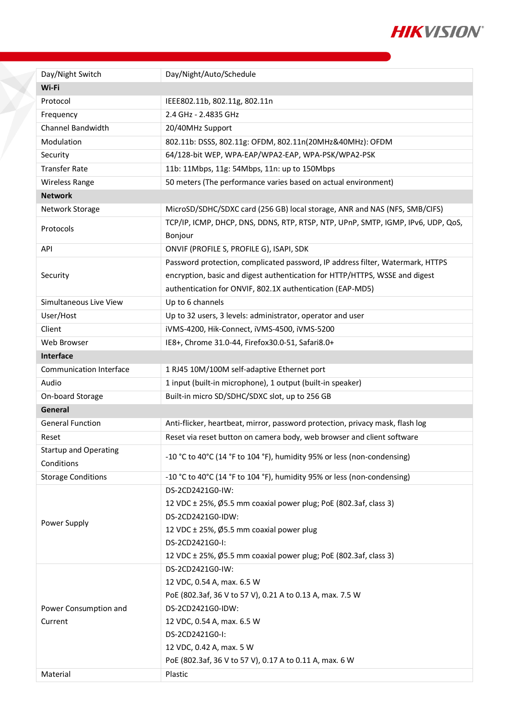

| Day/Night Switch                           | Day/Night/Auto/Schedule                                                                                                                                                                                                                                                  |
|--------------------------------------------|--------------------------------------------------------------------------------------------------------------------------------------------------------------------------------------------------------------------------------------------------------------------------|
| Wi-Fi                                      |                                                                                                                                                                                                                                                                          |
| Protocol                                   | IEEE802.11b, 802.11g, 802.11n                                                                                                                                                                                                                                            |
| Frequency                                  | 2.4 GHz - 2.4835 GHz                                                                                                                                                                                                                                                     |
| <b>Channel Bandwidth</b>                   | 20/40MHz Support                                                                                                                                                                                                                                                         |
| Modulation                                 | 802.11b: DSSS, 802.11g: OFDM, 802.11n(20MHz&40MHz): OFDM                                                                                                                                                                                                                 |
| Security                                   | 64/128-bit WEP, WPA-EAP/WPA2-EAP, WPA-PSK/WPA2-PSK                                                                                                                                                                                                                       |
| <b>Transfer Rate</b>                       | 11b: 11Mbps, 11g: 54Mbps, 11n: up to 150Mbps                                                                                                                                                                                                                             |
| Wireless Range                             | 50 meters (The performance varies based on actual environment)                                                                                                                                                                                                           |
| <b>Network</b>                             |                                                                                                                                                                                                                                                                          |
| Network Storage                            | MicroSD/SDHC/SDXC card (256 GB) local storage, ANR and NAS (NFS, SMB/CIFS)                                                                                                                                                                                               |
| Protocols                                  | TCP/IP, ICMP, DHCP, DNS, DDNS, RTP, RTSP, NTP, UPnP, SMTP, IGMP, IPv6, UDP, QoS,<br>Bonjour                                                                                                                                                                              |
| API                                        | ONVIF (PROFILE S, PROFILE G), ISAPI, SDK                                                                                                                                                                                                                                 |
| Security                                   | Password protection, complicated password, IP address filter, Watermark, HTTPS<br>encryption, basic and digest authentication for HTTP/HTTPS, WSSE and digest<br>authentication for ONVIF, 802.1X authentication (EAP-MD5)                                               |
| Simultaneous Live View                     | Up to 6 channels                                                                                                                                                                                                                                                         |
| User/Host                                  | Up to 32 users, 3 levels: administrator, operator and user                                                                                                                                                                                                               |
| Client                                     | iVMS-4200, Hik-Connect, iVMS-4500, iVMS-5200                                                                                                                                                                                                                             |
| Web Browser                                | IE8+, Chrome 31.0-44, Firefox30.0-51, Safari8.0+                                                                                                                                                                                                                         |
| <b>Interface</b>                           |                                                                                                                                                                                                                                                                          |
| <b>Communication Interface</b>             | 1 RJ45 10M/100M self-adaptive Ethernet port                                                                                                                                                                                                                              |
| Audio                                      | 1 input (built-in microphone), 1 output (built-in speaker)                                                                                                                                                                                                               |
| On-board Storage                           | Built-in micro SD/SDHC/SDXC slot, up to 256 GB                                                                                                                                                                                                                           |
| General                                    |                                                                                                                                                                                                                                                                          |
| <b>General Function</b>                    | Anti-flicker, heartbeat, mirror, password protection, privacy mask, flash log                                                                                                                                                                                            |
| Reset                                      | Reset via reset button on camera body, web browser and client software                                                                                                                                                                                                   |
| <b>Startup and Operating</b><br>Conditions | -10 °C to 40°C (14 °F to 104 °F), humidity 95% or less (non-condensing)                                                                                                                                                                                                  |
| <b>Storage Conditions</b>                  | -10 °C to 40°C (14 °F to 104 °F), humidity 95% or less (non-condensing)                                                                                                                                                                                                  |
| Power Supply                               | DS-2CD2421G0-IW:<br>12 VDC ± 25%, Ø5.5 mm coaxial power plug; PoE (802.3af, class 3)<br>DS-2CD2421G0-IDW:<br>12 VDC ± 25%, Ø5.5 mm coaxial power plug<br>DS-2CD2421G0-I:<br>12 VDC ± 25%, Ø5.5 mm coaxial power plug; PoE (802.3af, class 3)                             |
| Power Consumption and<br>Current           | DS-2CD2421G0-IW:<br>12 VDC, 0.54 A, max. 6.5 W<br>PoE (802.3af, 36 V to 57 V), 0.21 A to 0.13 A, max. 7.5 W<br>DS-2CD2421G0-IDW:<br>12 VDC, 0.54 A, max. 6.5 W<br>DS-2CD2421G0-I:<br>12 VDC, 0.42 A, max. 5 W<br>PoE (802.3af, 36 V to 57 V), 0.17 A to 0.11 A, max. 6 W |
| Material                                   | Plastic                                                                                                                                                                                                                                                                  |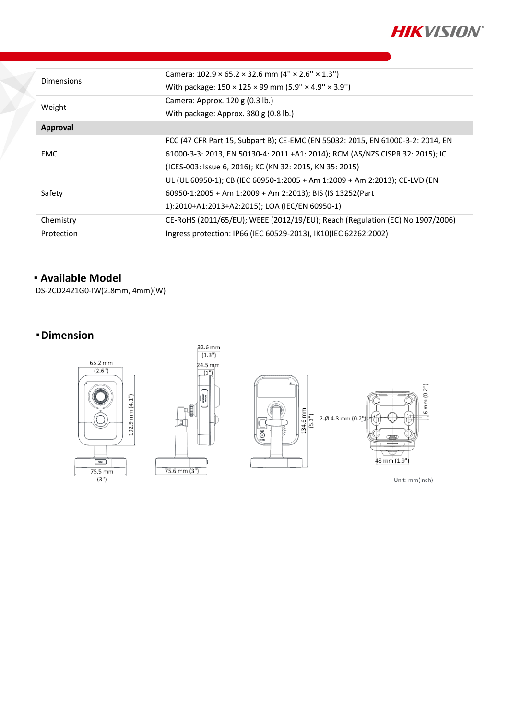

| <b>Dimensions</b> | Camera: $102.9 \times 65.2 \times 32.6$ mm $(4'' \times 2.6'' \times 1.3'')$<br>With package: 150 × 125 × 99 mm (5.9" × 4.9" × 3.9") |
|-------------------|--------------------------------------------------------------------------------------------------------------------------------------|
| Weight            | Camera: Approx. 120 g (0.3 lb.)<br>With package: Approx. 380 g (0.8 lb.)                                                             |
| Approval          |                                                                                                                                      |
| <b>EMC</b>        | FCC (47 CFR Part 15, Subpart B); CE-EMC (EN 55032: 2015, EN 61000-3-2: 2014, EN                                                      |
|                   | 61000-3-3: 2013, EN 50130-4: 2011 +A1: 2014); RCM (AS/NZS CISPR 32: 2015); IC                                                        |
|                   | (ICES-003: Issue 6, 2016); KC (KN 32: 2015, KN 35: 2015)                                                                             |
| Safety            | UL (UL 60950-1); CB (IEC 60950-1:2005 + Am 1:2009 + Am 2:2013); CE-LVD (EN                                                           |
|                   | 60950-1:2005 + Am 1:2009 + Am 2:2013); BIS (IS 13252(Part                                                                            |
|                   | 1):2010+A1:2013+A2:2015); LOA (IEC/EN 60950-1)                                                                                       |
| Chemistry         | CE-RoHS (2011/65/EU); WEEE (2012/19/EU); Reach (Regulation (EC) No 1907/2006)                                                        |
| Protection        | Ingress protection: IP66 (IEC 60529-2013), IK10 (IEC 62262:2002)                                                                     |

## **Available Model**

DS-2CD2421G0-IW(2.8mm, 4mm)(W)

## **Dimension**